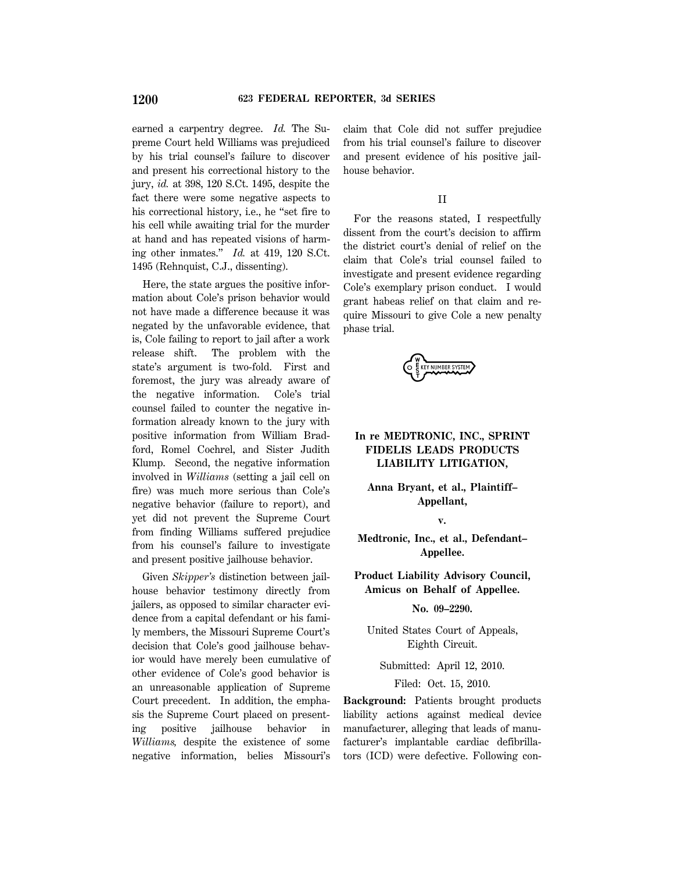earned a carpentry degree. *Id.* The Supreme Court held Williams was prejudiced by his trial counsel's failure to discover and present his correctional history to the jury, *id.* at 398, 120 S.Ct. 1495, despite the fact there were some negative aspects to his correctional history, i.e., he ''set fire to his cell while awaiting trial for the murder at hand and has repeated visions of harming other inmates.'' *Id.* at 419, 120 S.Ct. 1495 (Rehnquist, C.J., dissenting).

Here, the state argues the positive information about Cole's prison behavior would not have made a difference because it was negated by the unfavorable evidence, that is, Cole failing to report to jail after a work release shift. The problem with the state's argument is two-fold. First and foremost, the jury was already aware of the negative information. Cole's trial counsel failed to counter the negative information already known to the jury with positive information from William Bradford, Romel Cochrel, and Sister Judith Klump. Second, the negative information involved in *Williams* (setting a jail cell on fire) was much more serious than Cole's negative behavior (failure to report), and yet did not prevent the Supreme Court from finding Williams suffered prejudice from his counsel's failure to investigate and present positive jailhouse behavior.

Given *Skipper's* distinction between jailhouse behavior testimony directly from jailers, as opposed to similar character evidence from a capital defendant or his family members, the Missouri Supreme Court's decision that Cole's good jailhouse behavior would have merely been cumulative of other evidence of Cole's good behavior is an unreasonable application of Supreme Court precedent. In addition, the emphasis the Supreme Court placed on presenting positive jailhouse behavior in *Williams,* despite the existence of some negative information, belies Missouri's claim that Cole did not suffer prejudice from his trial counsel's failure to discover and present evidence of his positive jailhouse behavior.

## II

For the reasons stated, I respectfully dissent from the court's decision to affirm the district court's denial of relief on the claim that Cole's trial counsel failed to investigate and present evidence regarding Cole's exemplary prison conduct. I would grant habeas relief on that claim and require Missouri to give Cole a new penalty phase trial.

EY NUMBER SYSTEM

# **In re MEDTRONIC, INC., SPRINT FIDELIS LEADS PRODUCTS LIABILITY LITIGATION,**

**Anna Bryant, et al., Plaintiff– Appellant,**

**v.**

**Medtronic, Inc., et al., Defendant– Appellee.**

**Product Liability Advisory Council, Amicus on Behalf of Appellee.**

#### **No. 09–2290.**

United States Court of Appeals, Eighth Circuit.

Submitted: April 12, 2010.

Filed: Oct. 15, 2010.

**Background:** Patients brought products liability actions against medical device manufacturer, alleging that leads of manufacturer's implantable cardiac defibrillators (ICD) were defective. Following con-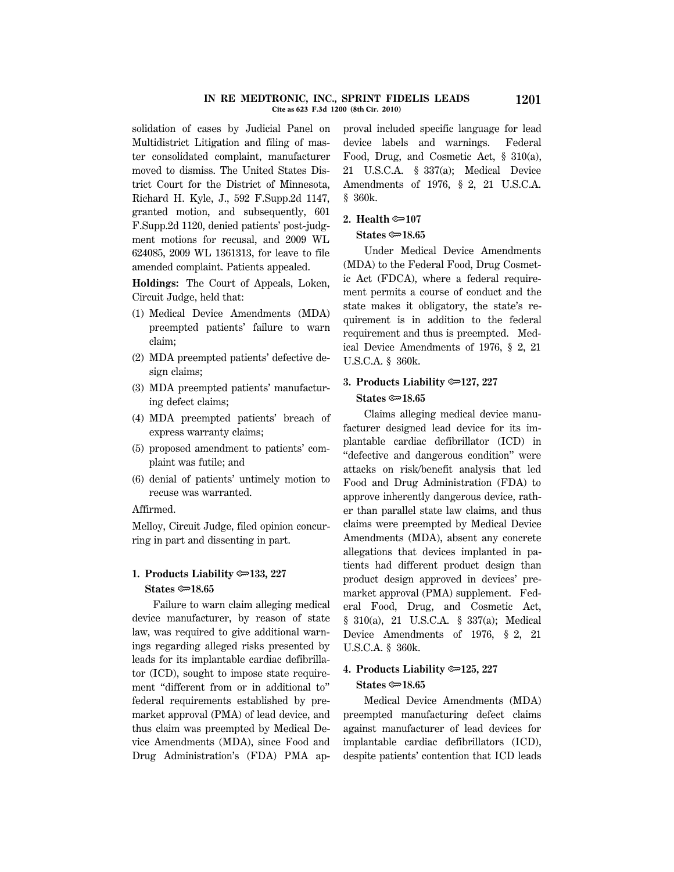#### **IN RE MEDTRONIC, INC., SPRINT FIDELIS LEADS 1201 Cite as 623 F.3d 1200 (8th Cir. 2010)**

solidation of cases by Judicial Panel on Multidistrict Litigation and filing of master consolidated complaint, manufacturer moved to dismiss. The United States District Court for the District of Minnesota, Richard H. Kyle, J., 592 F.Supp.2d 1147, granted motion, and subsequently, 601 F.Supp.2d 1120, denied patients' post-judgment motions for recusal, and 2009 WL 624085, 2009 WL 1361313, for leave to file amended complaint. Patients appealed.

**Holdings:** The Court of Appeals, Loken, Circuit Judge, held that:

- (1) Medical Device Amendments (MDA) preempted patients' failure to warn claim;
- (2) MDA preempted patients' defective design claims;
- (3) MDA preempted patients' manufacturing defect claims;
- (4) MDA preempted patients' breach of express warranty claims;
- (5) proposed amendment to patients' complaint was futile; and
- (6) denial of patients' untimely motion to recuse was warranted.

## Affirmed.

Melloy, Circuit Judge, filed opinion concurring in part and dissenting in part.

# **1. Products Liability** O**133, 227 States ©** $\approx$ **18.65**

Failure to warn claim alleging medical device manufacturer, by reason of state law, was required to give additional warnings regarding alleged risks presented by leads for its implantable cardiac defibrillator (ICD), sought to impose state requirement "different from or in additional to" federal requirements established by premarket approval (PMA) of lead device, and thus claim was preempted by Medical Device Amendments (MDA), since Food and Drug Administration's (FDA) PMA approval included specific language for lead device labels and warnings. Federal Food, Drug, and Cosmetic Act, § 310(a), 21 U.S.C.A. § 337(a); Medical Device Amendments of 1976, § 2, 21 U.S.C.A. § 360k.

## **2. Health ©**107

## **States ©**18.65

Under Medical Device Amendments (MDA) to the Federal Food, Drug Cosmetic Act (FDCA), where a federal requirement permits a course of conduct and the state makes it obligatory, the state's requirement is in addition to the federal requirement and thus is preempted. Medical Device Amendments of 1976, § 2, 21 U.S.C.A. § 360k.

# **3. Products Liability** O**127, 227 States ©**<sub>18.65</sub>

Claims alleging medical device manufacturer designed lead device for its implantable cardiac defibrillator (ICD) in ''defective and dangerous condition'' were attacks on risk/benefit analysis that led Food and Drug Administration (FDA) to approve inherently dangerous device, rather than parallel state law claims, and thus claims were preempted by Medical Device Amendments (MDA), absent any concrete allegations that devices implanted in patients had different product design than product design approved in devices' premarket approval (PMA) supplement. Federal Food, Drug, and Cosmetic Act, § 310(a), 21 U.S.C.A. § 337(a); Medical Device Amendments of 1976, § 2, 21 U.S.C.A. § 360k.

# **4. Products Liability** O**125, 227 States** O**18.65**

Medical Device Amendments (MDA) preempted manufacturing defect claims against manufacturer of lead devices for implantable cardiac defibrillators (ICD), despite patients' contention that ICD leads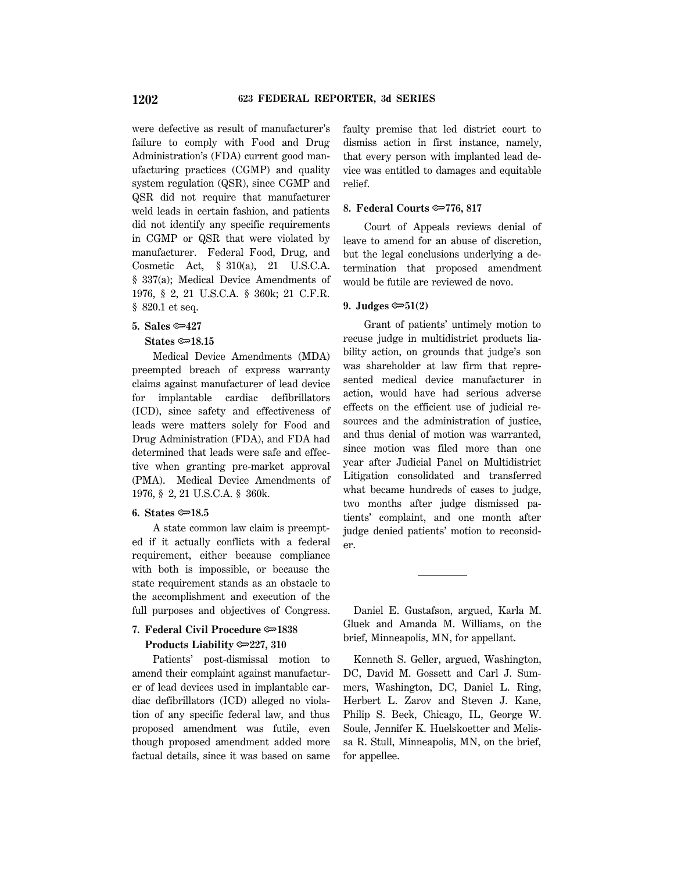were defective as result of manufacturer's failure to comply with Food and Drug Administration's (FDA) current good manufacturing practices (CGMP) and quality system regulation (QSR), since CGMP and QSR did not require that manufacturer weld leads in certain fashion, and patients did not identify any specific requirements in CGMP or QSR that were violated by manufacturer. Federal Food, Drug, and Cosmetic Act, § 310(a), 21 U.S.C.A. § 337(a); Medical Device Amendments of 1976, § 2, 21 U.S.C.A. § 360k; 21 C.F.R. § 820.1 et seq.

# **5. Sales**  $\approx 427$

## **States ©**<del>∞</del>18.15

Medical Device Amendments (MDA) preempted breach of express warranty claims against manufacturer of lead device for implantable cardiac defibrillators (ICD), since safety and effectiveness of leads were matters solely for Food and Drug Administration (FDA), and FDA had determined that leads were safe and effective when granting pre-market approval (PMA). Medical Device Amendments of 1976, § 2, 21 U.S.C.A. § 360k.

### **6.** States  $\approx 18.5$

A state common law claim is preempted if it actually conflicts with a federal requirement, either because compliance with both is impossible, or because the state requirement stands as an obstacle to the accomplishment and execution of the full purposes and objectives of Congress.

# **7. Federal Civil Procedure**  $\approx 1838$ **Products Liability**  $\approx 227$ **, 310**

Patients' post-dismissal motion to amend their complaint against manufacturer of lead devices used in implantable cardiac defibrillators (ICD) alleged no violation of any specific federal law, and thus proposed amendment was futile, even though proposed amendment added more factual details, since it was based on same faulty premise that led district court to dismiss action in first instance, namely, that every person with implanted lead device was entitled to damages and equitable relief.

#### **8. Federal Courts <del>©</del>−776, 817**

Court of Appeals reviews denial of leave to amend for an abuse of discretion, but the legal conclusions underlying a determination that proposed amendment would be futile are reviewed de novo.

### 9. Judges  $\mathfrak{S}1(2)$

Grant of patients' untimely motion to recuse judge in multidistrict products liability action, on grounds that judge's son was shareholder at law firm that represented medical device manufacturer in action, would have had serious adverse effects on the efficient use of judicial resources and the administration of justice, and thus denial of motion was warranted, since motion was filed more than one year after Judicial Panel on Multidistrict Litigation consolidated and transferred what became hundreds of cases to judge, two months after judge dismissed patients' complaint, and one month after judge denied patients' motion to reconsider.

Daniel E. Gustafson, argued, Karla M. Gluek and Amanda M. Williams, on the brief, Minneapolis, MN, for appellant.

Kenneth S. Geller, argued, Washington, DC, David M. Gossett and Carl J. Summers, Washington, DC, Daniel L. Ring, Herbert L. Zarov and Steven J. Kane, Philip S. Beck, Chicago, IL, George W. Soule, Jennifer K. Huelskoetter and Melissa R. Stull, Minneapolis, MN, on the brief, for appellee.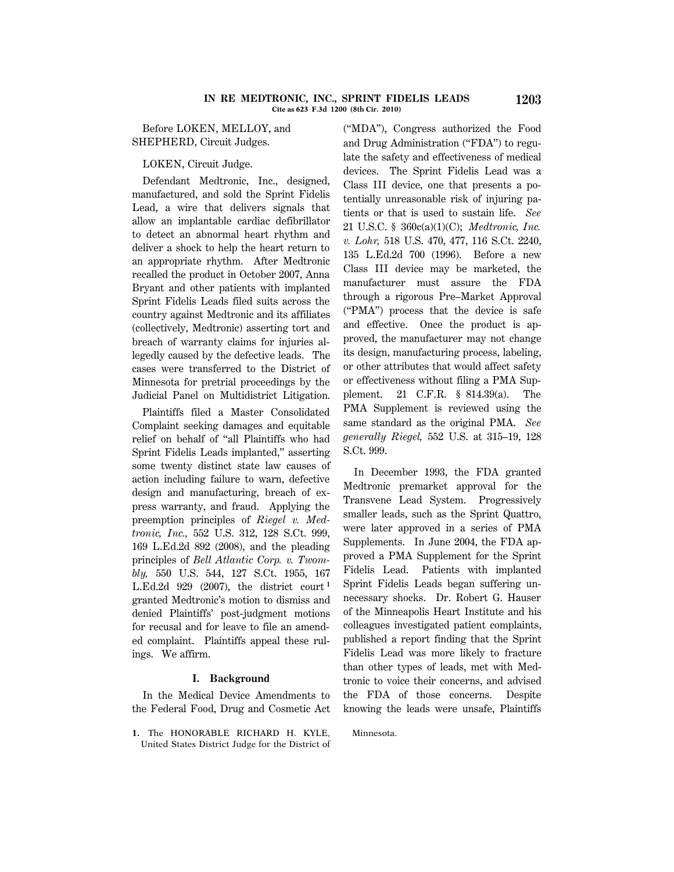Before LOKEN, MELLOY, and SHEPHERD, Circuit Judges.

LOKEN, Circuit Judge.

Defendant Medtronic, Inc., designed, manufactured, and sold the Sprint Fidelis Lead, a wire that delivers signals that allow an implantable cardiac defibrillator to detect an abnormal heart rhythm and deliver a shock to help the heart return to an appropriate rhythm. After Medtronic recalled the product in October 2007, Anna Bryant and other patients with implanted Sprint Fidelis Leads filed suits across the country against Medtronic and its affiliates (collectively, Medtronic) asserting tort and breach of warranty claims for injuries allegedly caused by the defective leads. The cases were transferred to the District of Minnesota for pretrial proceedings by the Judicial Panel on Multidistrict Litigation.

Plaintiffs filed a Master Consolidated Complaint seeking damages and equitable relief on behalf of ''all Plaintiffs who had Sprint Fidelis Leads implanted,'' asserting some twenty distinct state law causes of action including failure to warn, defective design and manufacturing, breach of express warranty, and fraud. Applying the preemption principles of *Riegel v. Medtronic, Inc.,* 552 U.S. 312, 128 S.Ct. 999, 169 L.Ed.2d 892 (2008), and the pleading principles of *Bell Atlantic Corp. v. Twombly,* 550 U.S. 544, 127 S.Ct. 1955, 167 L.Ed.2d 929 (2007), the district court **<sup>1</sup>** granted Medtronic's motion to dismiss and denied Plaintiffs' post-judgment motions for recusal and for leave to file an amended complaint. Plaintiffs appeal these rulings. We affirm.

## **I. Background**

In the Medical Device Amendments to the Federal Food, Drug and Cosmetic Act

**1.** The HONORABLE RICHARD H. KYLE, United States District Judge for the District of (''MDA''), Congress authorized the Food and Drug Administration (''FDA'') to regulate the safety and effectiveness of medical devices. The Sprint Fidelis Lead was a Class III device, one that presents a potentially unreasonable risk of injuring patients or that is used to sustain life. *See* 21 U.S.C. § 360c(a)(1)(C); *Medtronic, Inc. v. Lohr,* 518 U.S. 470, 477, 116 S.Ct. 2240, 135 L.Ed.2d 700 (1996). Before a new Class III device may be marketed, the manufacturer must assure the FDA through a rigorous Pre–Market Approval (''PMA'') process that the device is safe and effective. Once the product is approved, the manufacturer may not change its design, manufacturing process, labeling, or other attributes that would affect safety or effectiveness without filing a PMA Supplement. 21 C.F.R. § 814.39(a). The PMA Supplement is reviewed using the same standard as the original PMA. *See generally Riegel,* 552 U.S. at 315–19, 128 S.Ct. 999.

In December 1993, the FDA granted Medtronic premarket approval for the Transvene Lead System. Progressively smaller leads, such as the Sprint Quattro, were later approved in a series of PMA Supplements. In June 2004, the FDA approved a PMA Supplement for the Sprint Fidelis Lead. Patients with implanted Sprint Fidelis Leads began suffering unnecessary shocks. Dr. Robert G. Hauser of the Minneapolis Heart Institute and his colleagues investigated patient complaints, published a report finding that the Sprint Fidelis Lead was more likely to fracture than other types of leads, met with Medtronic to voice their concerns, and advised the FDA of those concerns. Despite knowing the leads were unsafe, Plaintiffs

Minnesota.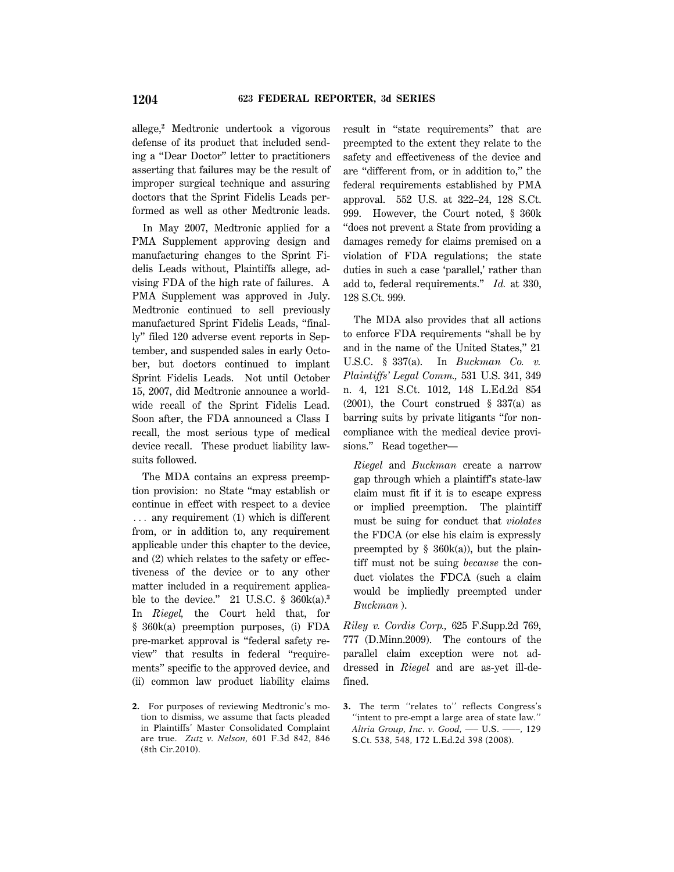allege,**<sup>2</sup>** Medtronic undertook a vigorous defense of its product that included sending a ''Dear Doctor'' letter to practitioners asserting that failures may be the result of improper surgical technique and assuring doctors that the Sprint Fidelis Leads performed as well as other Medtronic leads.

In May 2007, Medtronic applied for a PMA Supplement approving design and manufacturing changes to the Sprint Fidelis Leads without, Plaintiffs allege, advising FDA of the high rate of failures. A PMA Supplement was approved in July. Medtronic continued to sell previously manufactured Sprint Fidelis Leads, ''finally'' filed 120 adverse event reports in September, and suspended sales in early October, but doctors continued to implant Sprint Fidelis Leads. Not until October 15, 2007, did Medtronic announce a worldwide recall of the Sprint Fidelis Lead. Soon after, the FDA announced a Class I recall, the most serious type of medical device recall. These product liability lawsuits followed.

The MDA contains an express preemption provision: no State ''may establish or continue in effect with respect to a device  $\ldots$  any requirement (1) which is different from, or in addition to, any requirement applicable under this chapter to the device, and (2) which relates to the safety or effectiveness of the device or to any other matter included in a requirement applicable to the device.'' 21 U.S.C. § 360k(a).**<sup>3</sup>** In *Riegel,* the Court held that, for § 360k(a) preemption purposes, (i) FDA pre-market approval is ''federal safety review'' that results in federal ''requirements'' specific to the approved device, and (ii) common law product liability claims result in ''state requirements'' that are preempted to the extent they relate to the safety and effectiveness of the device and are ''different from, or in addition to,'' the federal requirements established by PMA approval. 552 U.S. at 322–24, 128 S.Ct. 999. However, the Court noted, § 360k ''does not prevent a State from providing a damages remedy for claims premised on a violation of FDA regulations; the state duties in such a case 'parallel,' rather than add to, federal requirements.'' *Id.* at 330, 128 S.Ct. 999.

The MDA also provides that all actions to enforce FDA requirements ''shall be by and in the name of the United States,'' 21 U.S.C. § 337(a). In *Buckman Co. v. Plaintiffs' Legal Comm.,* 531 U.S. 341, 349 n. 4, 121 S.Ct. 1012, 148 L.Ed.2d 854 (2001), the Court construed § 337(a) as barring suits by private litigants ''for noncompliance with the medical device provisions.'' Read together—

*Riegel* and *Buckman* create a narrow gap through which a plaintiff's state-law claim must fit if it is to escape express or implied preemption. The plaintiff must be suing for conduct that *violates* the FDCA (or else his claim is expressly preempted by  $\S$  360k(a)), but the plaintiff must not be suing *because* the conduct violates the FDCA (such a claim would be impliedly preempted under *Buckman* ).

*Riley v. Cordis Corp.,* 625 F.Supp.2d 769, 777 (D.Minn.2009). The contours of the parallel claim exception were not addressed in *Riegel* and are as-yet ill-defined.

**<sup>2.</sup>** For purposes of reviewing Medtronic's motion to dismiss, we assume that facts pleaded in Plaintiffs' Master Consolidated Complaint are true. *Zutz v. Nelson,* 601 F.3d 842, 846 (8th Cir.2010).

**<sup>3.</sup>** The term ''relates to'' reflects Congress's ''intent to pre-empt a large area of state law.'' *Altria Group, Inc. v. Good,* ––– U.S. ––––, 129 S.Ct. 538, 548, 172 L.Ed.2d 398 (2008).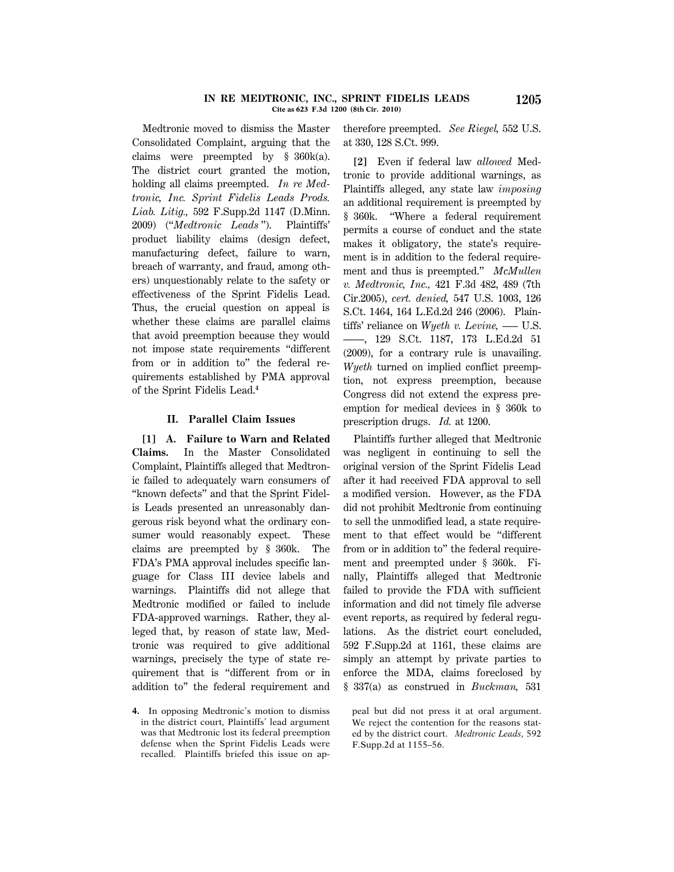#### **IN RE MEDTRONIC, INC., SPRINT FIDELIS LEADS 1205 Cite as 623 F.3d 1200 (8th Cir. 2010)**

Medtronic moved to dismiss the Master Consolidated Complaint, arguing that the claims were preempted by § 360k(a). The district court granted the motion, holding all claims preempted. *In re Medtronic, Inc. Sprint Fidelis Leads Prods. Liab. Litig.,* 592 F.Supp.2d 1147 (D.Minn. 2009) (''*Medtronic Leads* ''). Plaintiffs' product liability claims (design defect, manufacturing defect, failure to warn, breach of warranty, and fraud, among others) unquestionably relate to the safety or effectiveness of the Sprint Fidelis Lead. Thus, the crucial question on appeal is whether these claims are parallel claims that avoid preemption because they would not impose state requirements ''different from or in addition to'' the federal requirements established by PMA approval of the Sprint Fidelis Lead.**<sup>4</sup>**

### **II. Parallel Claim Issues**

**[1] A. Failure to Warn and Related Claims.** In the Master Consolidated Complaint, Plaintiffs alleged that Medtronic failed to adequately warn consumers of ''known defects'' and that the Sprint Fidelis Leads presented an unreasonably dangerous risk beyond what the ordinary consumer would reasonably expect. These claims are preempted by § 360k. The FDA's PMA approval includes specific language for Class III device labels and warnings. Plaintiffs did not allege that Medtronic modified or failed to include FDA-approved warnings. Rather, they alleged that, by reason of state law, Medtronic was required to give additional warnings, precisely the type of state requirement that is ''different from or in addition to'' the federal requirement and therefore preempted. *See Riegel,* 552 U.S. at 330, 128 S.Ct. 999.

**[2]** Even if federal law *allowed* Medtronic to provide additional warnings, as Plaintiffs alleged, any state law *imposing* an additional requirement is preempted by § 360k. ''Where a federal requirement permits a course of conduct and the state makes it obligatory, the state's requirement is in addition to the federal requirement and thus is preempted.'' *McMullen v. Medtronic, Inc.,* 421 F.3d 482, 489 (7th Cir.2005), *cert. denied,* 547 U.S. 1003, 126 S.Ct. 1464, 164 L.Ed.2d 246 (2006). Plaintiffs' reliance on *Wyeth v. Levine,* ––– U.S. ––––, 129 S.Ct. 1187, 173 L.Ed.2d 51 (2009), for a contrary rule is unavailing. *Wyeth* turned on implied conflict preemption, not express preemption, because Congress did not extend the express preemption for medical devices in § 360k to prescription drugs. *Id.* at 1200.

Plaintiffs further alleged that Medtronic was negligent in continuing to sell the original version of the Sprint Fidelis Lead after it had received FDA approval to sell a modified version. However, as the FDA did not prohibit Medtronic from continuing to sell the unmodified lead, a state requirement to that effect would be ''different from or in addition to'' the federal requirement and preempted under § 360k. Finally, Plaintiffs alleged that Medtronic failed to provide the FDA with sufficient information and did not timely file adverse event reports, as required by federal regulations. As the district court concluded, 592 F.Supp.2d at 1161, these claims are simply an attempt by private parties to enforce the MDA, claims foreclosed by § 337(a) as construed in *Buckman,* 531

**<sup>4.</sup>** In opposing Medtronic's motion to dismiss in the district court, Plaintiffs' lead argument was that Medtronic lost its federal preemption defense when the Sprint Fidelis Leads were recalled. Plaintiffs briefed this issue on ap-

peal but did not press it at oral argument. We reject the contention for the reasons stated by the district court. *Medtronic Leads,* 592 F.Supp.2d at 1155–56.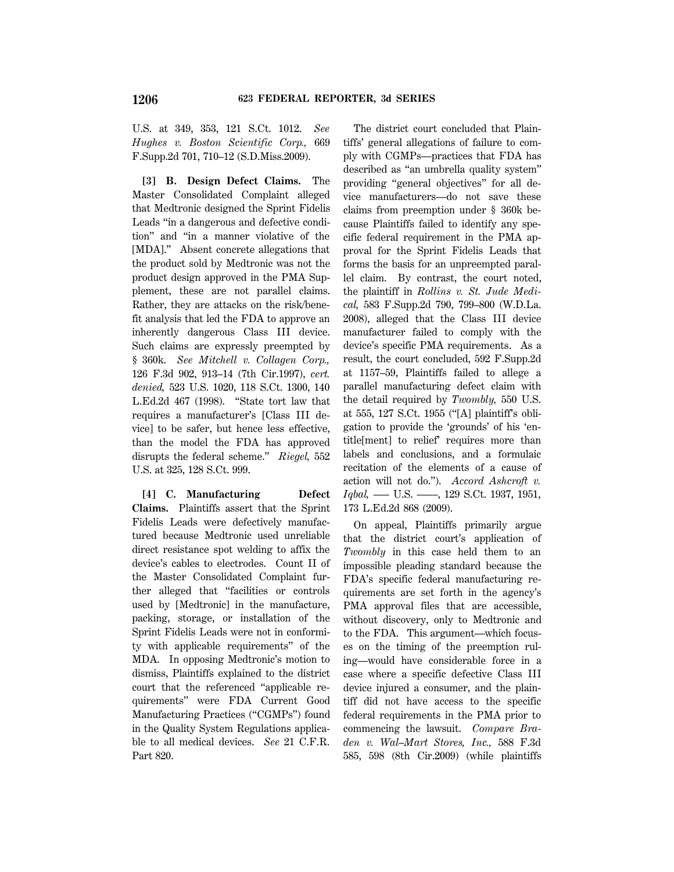U.S. at 349, 353, 121 S.Ct. 1012. *See Hughes v. Boston Scientific Corp.,* 669 F.Supp.2d 701, 710–12 (S.D.Miss.2009).

**[3] B. Design Defect Claims.** The Master Consolidated Complaint alleged that Medtronic designed the Sprint Fidelis Leads ''in a dangerous and defective condition'' and ''in a manner violative of the [MDA].'' Absent concrete allegations that the product sold by Medtronic was not the product design approved in the PMA Supplement, these are not parallel claims. Rather, they are attacks on the risk/benefit analysis that led the FDA to approve an inherently dangerous Class III device. Such claims are expressly preempted by § 360k. *See Mitchell v. Collagen Corp.,* 126 F.3d 902, 913–14 (7th Cir.1997), *cert. denied,* 523 U.S. 1020, 118 S.Ct. 1300, 140 L.Ed.2d 467 (1998). ''State tort law that requires a manufacturer's [Class III device] to be safer, but hence less effective, than the model the FDA has approved disrupts the federal scheme.'' *Riegel,* 552 U.S. at 325, 128 S.Ct. 999.

**[4] C. Manufacturing Defect Claims.** Plaintiffs assert that the Sprint Fidelis Leads were defectively manufactured because Medtronic used unreliable direct resistance spot welding to affix the device's cables to electrodes. Count II of the Master Consolidated Complaint further alleged that ''facilities or controls used by [Medtronic] in the manufacture, packing, storage, or installation of the Sprint Fidelis Leads were not in conformity with applicable requirements'' of the MDA. In opposing Medtronic's motion to dismiss, Plaintiffs explained to the district court that the referenced ''applicable requirements'' were FDA Current Good Manufacturing Practices (''CGMPs'') found in the Quality System Regulations applicable to all medical devices. *See* 21 C.F.R. Part 820.

The district court concluded that Plaintiffs' general allegations of failure to comply with CGMPs—practices that FDA has described as ''an umbrella quality system'' providing ''general objectives'' for all device manufacturers—do not save these claims from preemption under § 360k because Plaintiffs failed to identify any specific federal requirement in the PMA approval for the Sprint Fidelis Leads that forms the basis for an unpreempted parallel claim. By contrast, the court noted, the plaintiff in *Rollins v. St. Jude Medical,* 583 F.Supp.2d 790, 799–800 (W.D.La. 2008), alleged that the Class III device manufacturer failed to comply with the device's specific PMA requirements. As a result, the court concluded, 592 F.Supp.2d at 1157–59, Plaintiffs failed to allege a parallel manufacturing defect claim with the detail required by *Twombly,* 550 U.S. at 555, 127 S.Ct. 1955 (''[A] plaintiff's obligation to provide the 'grounds' of his 'entitle[ment] to relief' requires more than labels and conclusions, and a formulaic recitation of the elements of a cause of action will not do.''). *Accord Ashcroft v. Iqbal,* ––– U.S. ––––, 129 S.Ct. 1937, 1951, 173 L.Ed.2d 868 (2009).

On appeal, Plaintiffs primarily argue that the district court's application of *Twombly* in this case held them to an impossible pleading standard because the FDA's specific federal manufacturing requirements are set forth in the agency's PMA approval files that are accessible, without discovery, only to Medtronic and to the FDA. This argument—which focuses on the timing of the preemption ruling—would have considerable force in a case where a specific defective Class III device injured a consumer, and the plaintiff did not have access to the specific federal requirements in the PMA prior to commencing the lawsuit. *Compare Braden v. Wal–Mart Stores, Inc.,* 588 F.3d 585, 598 (8th Cir.2009) (while plaintiffs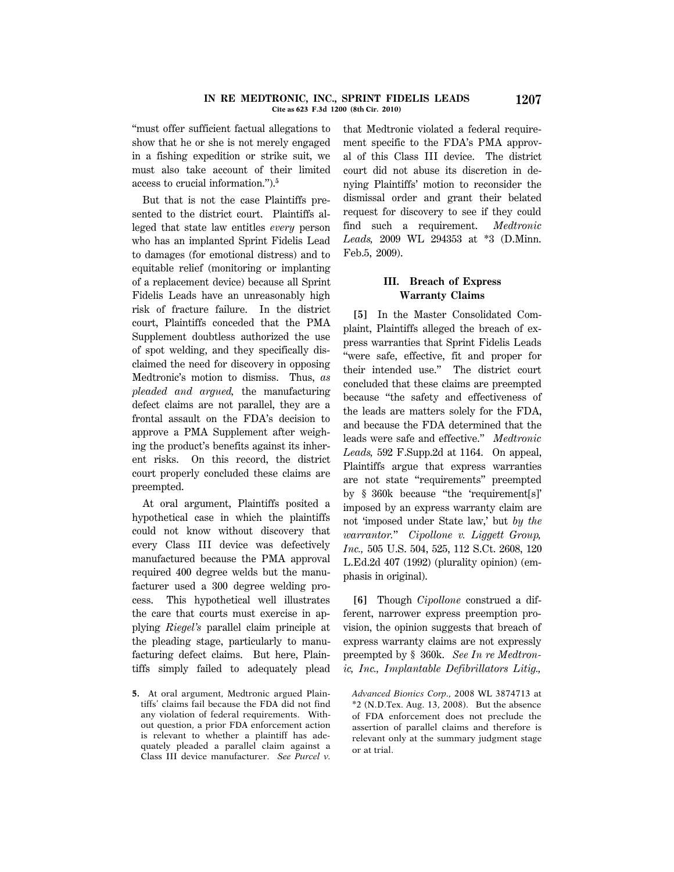#### **IN RE MEDTRONIC, INC., SPRINT FIDELIS LEADS 1207 Cite as 623 F.3d 1200 (8th Cir. 2010)**

''must offer sufficient factual allegations to show that he or she is not merely engaged in a fishing expedition or strike suit, we must also take account of their limited access to crucial information.'').**<sup>5</sup>**

But that is not the case Plaintiffs presented to the district court. Plaintiffs alleged that state law entitles *every* person who has an implanted Sprint Fidelis Lead to damages (for emotional distress) and to equitable relief (monitoring or implanting of a replacement device) because all Sprint Fidelis Leads have an unreasonably high risk of fracture failure. In the district court, Plaintiffs conceded that the PMA Supplement doubtless authorized the use of spot welding, and they specifically disclaimed the need for discovery in opposing Medtronic's motion to dismiss. Thus, *as pleaded and argued,* the manufacturing defect claims are not parallel, they are a frontal assault on the FDA's decision to approve a PMA Supplement after weighing the product's benefits against its inherent risks. On this record, the district court properly concluded these claims are preempted.

At oral argument, Plaintiffs posited a hypothetical case in which the plaintiffs could not know without discovery that every Class III device was defectively manufactured because the PMA approval required 400 degree welds but the manufacturer used a 300 degree welding process. This hypothetical well illustrates the care that courts must exercise in applying *Riegel's* parallel claim principle at the pleading stage, particularly to manufacturing defect claims. But here, Plaintiffs simply failed to adequately plead that Medtronic violated a federal requirement specific to the FDA's PMA approval of this Class III device. The district court did not abuse its discretion in denying Plaintiffs' motion to reconsider the dismissal order and grant their belated request for discovery to see if they could find such a requirement. *Medtronic Leads,* 2009 WL 294353 at \*3 (D.Minn. Feb.5, 2009).

# **III. Breach of Express Warranty Claims**

**[5]** In the Master Consolidated Complaint, Plaintiffs alleged the breach of express warranties that Sprint Fidelis Leads ''were safe, effective, fit and proper for their intended use.'' The district court concluded that these claims are preempted because ''the safety and effectiveness of the leads are matters solely for the FDA, and because the FDA determined that the leads were safe and effective.'' *Medtronic Leads,* 592 F.Supp.2d at 1164. On appeal, Plaintiffs argue that express warranties are not state ''requirements'' preempted by § 360k because ''the 'requirement[s]' imposed by an express warranty claim are not 'imposed under State law,' but *by the warrantor.*'' *Cipollone v. Liggett Group, Inc.,* 505 U.S. 504, 525, 112 S.Ct. 2608, 120 L.Ed.2d 407 (1992) (plurality opinion) (emphasis in original).

**[6]** Though *Cipollone* construed a different, narrower express preemption provision, the opinion suggests that breach of express warranty claims are not expressly preempted by § 360k. *See In re Medtronic, Inc., Implantable Defibrillators Litig.,*

**<sup>5.</sup>** At oral argument, Medtronic argued Plaintiffs' claims fail because the FDA did not find any violation of federal requirements. Without question, a prior FDA enforcement action is relevant to whether a plaintiff has adequately pleaded a parallel claim against a Class III device manufacturer. *See Purcel v.*

*Advanced Bionics Corp.,* 2008 WL 3874713 at \*2 (N.D.Tex. Aug. 13, 2008). But the absence of FDA enforcement does not preclude the assertion of parallel claims and therefore is relevant only at the summary judgment stage or at trial.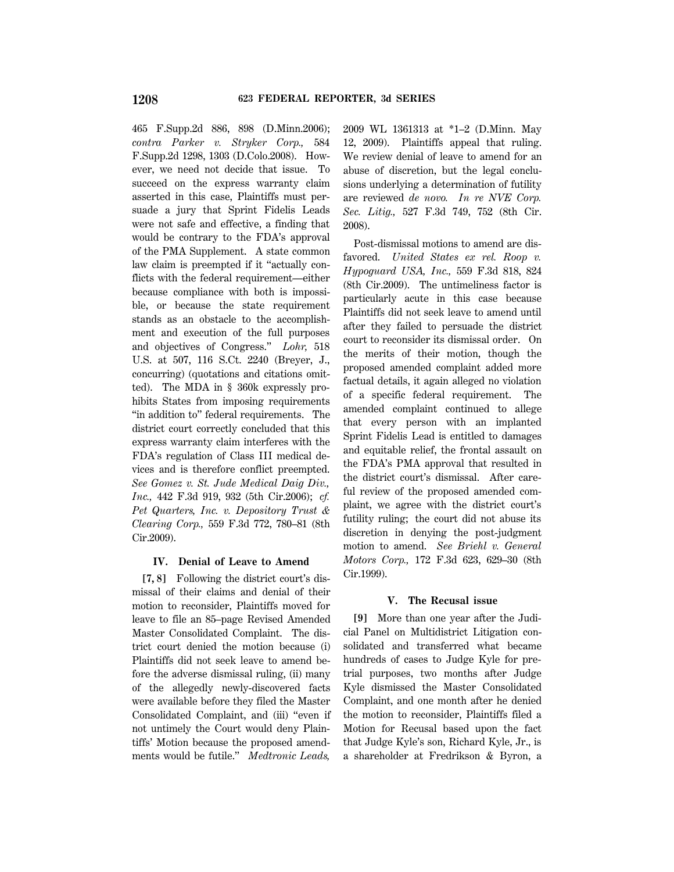465 F.Supp.2d 886, 898 (D.Minn.2006); *contra Parker v. Stryker Corp.,* 584 F.Supp.2d 1298, 1303 (D.Colo.2008). However, we need not decide that issue. To succeed on the express warranty claim asserted in this case, Plaintiffs must persuade a jury that Sprint Fidelis Leads were not safe and effective, a finding that would be contrary to the FDA's approval of the PMA Supplement. A state common law claim is preempted if it "actually conflicts with the federal requirement—either because compliance with both is impossible, or because the state requirement stands as an obstacle to the accomplishment and execution of the full purposes and objectives of Congress.'' *Lohr,* 518 U.S. at 507, 116 S.Ct. 2240 (Breyer, J., concurring) (quotations and citations omitted). The MDA in § 360k expressly prohibits States from imposing requirements "in addition to" federal requirements. The district court correctly concluded that this express warranty claim interferes with the FDA's regulation of Class III medical devices and is therefore conflict preempted. *See Gomez v. St. Jude Medical Daig Div., Inc.,* 442 F.3d 919, 932 (5th Cir.2006); *cf. Pet Quarters, Inc. v. Depository Trust & Clearing Corp.,* 559 F.3d 772, 780–81 (8th Cir.2009).

## **IV. Denial of Leave to Amend**

**[7, 8]** Following the district court's dismissal of their claims and denial of their motion to reconsider, Plaintiffs moved for leave to file an 85–page Revised Amended Master Consolidated Complaint. The district court denied the motion because (i) Plaintiffs did not seek leave to amend before the adverse dismissal ruling, (ii) many of the allegedly newly-discovered facts were available before they filed the Master Consolidated Complaint, and (iii) ''even if not untimely the Court would deny Plaintiffs' Motion because the proposed amendments would be futile.'' *Medtronic Leads,*

2009 WL 1361313 at \*1–2 (D.Minn. May 12, 2009). Plaintiffs appeal that ruling. We review denial of leave to amend for an abuse of discretion, but the legal conclusions underlying a determination of futility are reviewed *de novo. In re NVE Corp. Sec. Litig.,* 527 F.3d 749, 752 (8th Cir. 2008).

Post-dismissal motions to amend are disfavored. *United States ex rel. Roop v. Hypoguard USA, Inc.,* 559 F.3d 818, 824 (8th Cir.2009). The untimeliness factor is particularly acute in this case because Plaintiffs did not seek leave to amend until after they failed to persuade the district court to reconsider its dismissal order. On the merits of their motion, though the proposed amended complaint added more factual details, it again alleged no violation of a specific federal requirement. The amended complaint continued to allege that every person with an implanted Sprint Fidelis Lead is entitled to damages and equitable relief, the frontal assault on the FDA's PMA approval that resulted in the district court's dismissal. After careful review of the proposed amended complaint, we agree with the district court's futility ruling; the court did not abuse its discretion in denying the post-judgment motion to amend. *See Briehl v. General Motors Corp.,* 172 F.3d 623, 629–30 (8th Cir.1999).

#### **V. The Recusal issue**

**[9]** More than one year after the Judicial Panel on Multidistrict Litigation consolidated and transferred what became hundreds of cases to Judge Kyle for pretrial purposes, two months after Judge Kyle dismissed the Master Consolidated Complaint, and one month after he denied the motion to reconsider, Plaintiffs filed a Motion for Recusal based upon the fact that Judge Kyle's son, Richard Kyle, Jr., is a shareholder at Fredrikson & Byron, a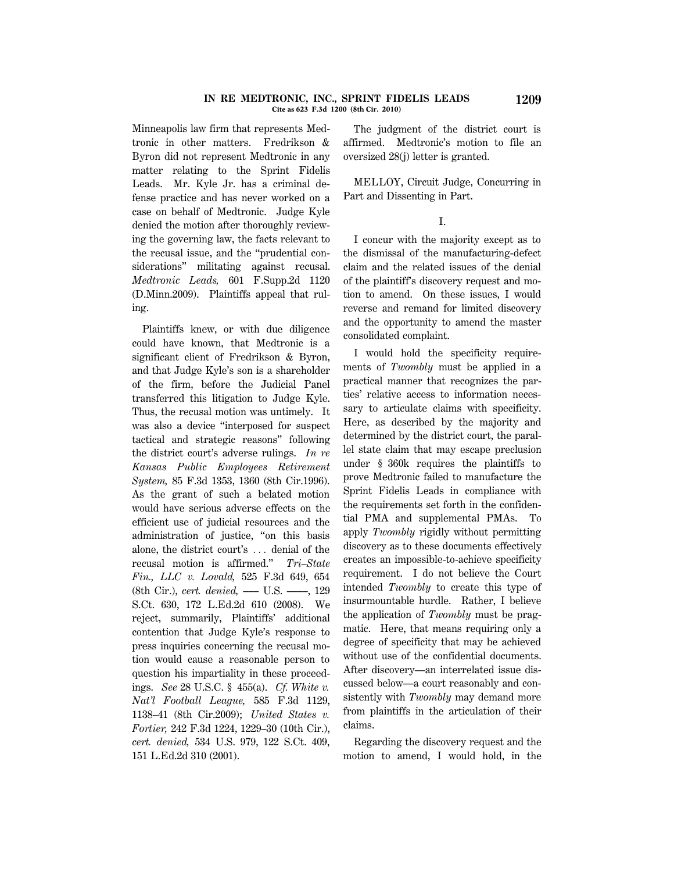#### **IN RE MEDTRONIC, INC., SPRINT FIDELIS LEADS 1209 Cite as 623 F.3d 1200 (8th Cir. 2010)**

Minneapolis law firm that represents Medtronic in other matters. Fredrikson & Byron did not represent Medtronic in any matter relating to the Sprint Fidelis Leads. Mr. Kyle Jr. has a criminal defense practice and has never worked on a case on behalf of Medtronic. Judge Kyle denied the motion after thoroughly reviewing the governing law, the facts relevant to the recusal issue, and the ''prudential considerations'' militating against recusal. *Medtronic Leads,* 601 F.Supp.2d 1120 (D.Minn.2009). Plaintiffs appeal that ruling.

Plaintiffs knew, or with due diligence could have known, that Medtronic is a significant client of Fredrikson & Byron, and that Judge Kyle's son is a shareholder of the firm, before the Judicial Panel transferred this litigation to Judge Kyle. Thus, the recusal motion was untimely. It was also a device ''interposed for suspect tactical and strategic reasons'' following the district court's adverse rulings. *In re Kansas Public Employees Retirement System,* 85 F.3d 1353, 1360 (8th Cir.1996). As the grant of such a belated motion would have serious adverse effects on the efficient use of judicial resources and the administration of justice, ''on this basis alone, the district court's  $\ldots$  denial of the recusal motion is affirmed.'' *Tri–State Fin., LLC v. Lovald,* 525 F.3d 649, 654 (8th Cir.), *cert. denied,* ––– U.S. ––––, 129 S.Ct. 630, 172 L.Ed.2d 610 (2008). We reject, summarily, Plaintiffs' additional contention that Judge Kyle's response to press inquiries concerning the recusal motion would cause a reasonable person to question his impartiality in these proceedings. *See* 28 U.S.C. § 455(a). *Cf. White v. Nat'l Football League,* 585 F.3d 1129, 1138–41 (8th Cir.2009); *United States v. Fortier,* 242 F.3d 1224, 1229–30 (10th Cir.), *cert. denied,* 534 U.S. 979, 122 S.Ct. 409, 151 L.Ed.2d 310 (2001).

The judgment of the district court is affirmed. Medtronic's motion to file an oversized 28(j) letter is granted.

MELLOY, Circuit Judge, Concurring in Part and Dissenting in Part.

I.

I concur with the majority except as to the dismissal of the manufacturing-defect claim and the related issues of the denial of the plaintiff's discovery request and motion to amend. On these issues, I would reverse and remand for limited discovery and the opportunity to amend the master consolidated complaint.

I would hold the specificity requirements of *Twombly* must be applied in a practical manner that recognizes the parties' relative access to information necessary to articulate claims with specificity. Here, as described by the majority and determined by the district court, the parallel state claim that may escape preclusion under § 360k requires the plaintiffs to prove Medtronic failed to manufacture the Sprint Fidelis Leads in compliance with the requirements set forth in the confidential PMA and supplemental PMAs. To apply *Twombly* rigidly without permitting discovery as to these documents effectively creates an impossible-to-achieve specificity requirement. I do not believe the Court intended *Twombly* to create this type of insurmountable hurdle. Rather, I believe the application of *Twombly* must be pragmatic. Here, that means requiring only a degree of specificity that may be achieved without use of the confidential documents. After discovery—an interrelated issue discussed below—a court reasonably and consistently with *Twombly* may demand more from plaintiffs in the articulation of their claims.

Regarding the discovery request and the motion to amend, I would hold, in the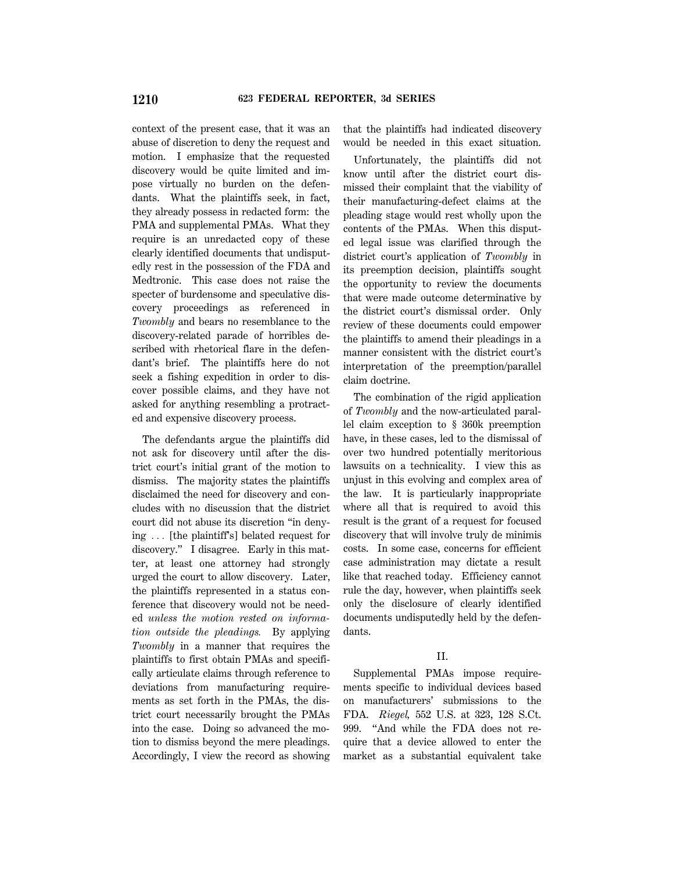context of the present case, that it was an abuse of discretion to deny the request and motion. I emphasize that the requested discovery would be quite limited and impose virtually no burden on the defendants. What the plaintiffs seek, in fact, they already possess in redacted form: the PMA and supplemental PMAs. What they require is an unredacted copy of these clearly identified documents that undisputedly rest in the possession of the FDA and Medtronic. This case does not raise the specter of burdensome and speculative discovery proceedings as referenced in *Twombly* and bears no resemblance to the discovery-related parade of horribles described with rhetorical flare in the defendant's brief. The plaintiffs here do not seek a fishing expedition in order to discover possible claims, and they have not asked for anything resembling a protracted and expensive discovery process.

The defendants argue the plaintiffs did not ask for discovery until after the district court's initial grant of the motion to dismiss. The majority states the plaintiffs disclaimed the need for discovery and concludes with no discussion that the district court did not abuse its discretion ''in denying ... [the plaintiff's] belated request for discovery.'' I disagree. Early in this matter, at least one attorney had strongly urged the court to allow discovery. Later, the plaintiffs represented in a status conference that discovery would not be needed *unless the motion rested on information outside the pleadings.* By applying *Twombly* in a manner that requires the plaintiffs to first obtain PMAs and specifically articulate claims through reference to deviations from manufacturing requirements as set forth in the PMAs, the district court necessarily brought the PMAs into the case. Doing so advanced the motion to dismiss beyond the mere pleadings. Accordingly, I view the record as showing that the plaintiffs had indicated discovery would be needed in this exact situation.

Unfortunately, the plaintiffs did not know until after the district court dismissed their complaint that the viability of their manufacturing-defect claims at the pleading stage would rest wholly upon the contents of the PMAs. When this disputed legal issue was clarified through the district court's application of *Twombly* in its preemption decision, plaintiffs sought the opportunity to review the documents that were made outcome determinative by the district court's dismissal order. Only review of these documents could empower the plaintiffs to amend their pleadings in a manner consistent with the district court's interpretation of the preemption/parallel claim doctrine.

The combination of the rigid application of *Twombly* and the now-articulated parallel claim exception to § 360k preemption have, in these cases, led to the dismissal of over two hundred potentially meritorious lawsuits on a technicality. I view this as unjust in this evolving and complex area of the law. It is particularly inappropriate where all that is required to avoid this result is the grant of a request for focused discovery that will involve truly de minimis costs. In some case, concerns for efficient case administration may dictate a result like that reached today. Efficiency cannot rule the day, however, when plaintiffs seek only the disclosure of clearly identified documents undisputedly held by the defendants.

### II.

Supplemental PMAs impose requirements specific to individual devices based on manufacturers' submissions to the FDA. *Riegel,* 552 U.S. at 323, 128 S.Ct. 999. ''And while the FDA does not require that a device allowed to enter the market as a substantial equivalent take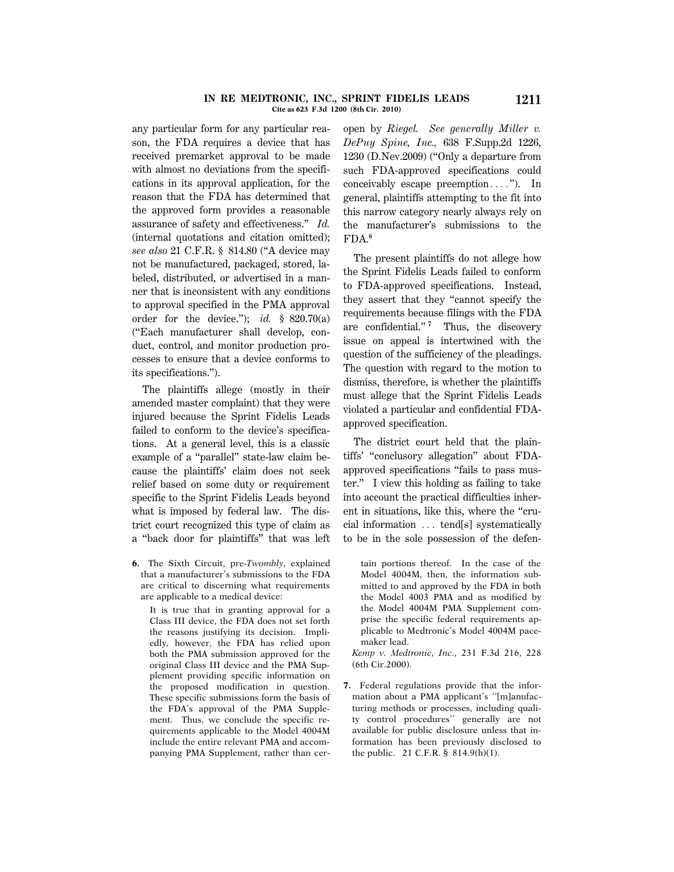#### **IN RE MEDTRONIC, INC., SPRINT FIDELIS LEADS 1211 Cite as 623 F.3d 1200 (8th Cir. 2010)**

any particular form for any particular reason, the FDA requires a device that has received premarket approval to be made with almost no deviations from the specifications in its approval application, for the reason that the FDA has determined that the approved form provides a reasonable assurance of safety and effectiveness.'' *Id.* (internal quotations and citation omitted); *see also* 21 C.F.R. § 814.80 (''A device may not be manufactured, packaged, stored, labeled, distributed, or advertised in a manner that is inconsistent with any conditions to approval specified in the PMA approval order for the device."); *id.*  $\frac{1}{5}$  820.70(a) (''Each manufacturer shall develop, conduct, control, and monitor production processes to ensure that a device conforms to its specifications.'').

The plaintiffs allege (mostly in their amended master complaint) that they were injured because the Sprint Fidelis Leads failed to conform to the device's specifications. At a general level, this is a classic example of a ''parallel'' state-law claim because the plaintiffs' claim does not seek relief based on some duty or requirement specific to the Sprint Fidelis Leads beyond what is imposed by federal law. The district court recognized this type of claim as a ''back door for plaintiffs'' that was left

**6.** The Sixth Circuit, pre-*Twombly,* explained that a manufacturer's submissions to the FDA are critical to discerning what requirements are applicable to a medical device:

It is true that in granting approval for a Class III device, the FDA does not set forth the reasons justifying its decision. Impliedly, however, the FDA has relied upon both the PMA submission approved for the original Class III device and the PMA Supplement providing specific information on the proposed modification in question. These specific submissions form the basis of the FDA's approval of the PMA Supplement. Thus, we conclude the specific requirements applicable to the Model 4004M include the entire relevant PMA and accompanying PMA Supplement, rather than ceropen by *Riegel. See generally Miller v. DePuy Spine, Inc.,* 638 F.Supp.2d 1226, 1230 (D.Nev.2009) (''Only a departure from such FDA-approved specifications could conceivably escape preemption $\ldots$ "). In general, plaintiffs attempting to the fit into this narrow category nearly always rely on the manufacturer's submissions to the FDA.**<sup>6</sup>**

The present plaintiffs do not allege how the Sprint Fidelis Leads failed to conform to FDA-approved specifications. Instead, they assert that they ''cannot specify the requirements because filings with the FDA are confidential.'' **<sup>7</sup>** Thus, the discovery issue on appeal is intertwined with the question of the sufficiency of the pleadings. The question with regard to the motion to dismiss, therefore, is whether the plaintiffs must allege that the Sprint Fidelis Leads violated a particular and confidential FDAapproved specification.

The district court held that the plaintiffs' ''conclusory allegation'' about FDAapproved specifications ''fails to pass muster.'' I view this holding as failing to take into account the practical difficulties inherent in situations, like this, where the ''crucial information  $\ldots$  tend[s] systematically to be in the sole possession of the defen-

tain portions thereof. In the case of the Model 4004M, then, the information submitted to and approved by the FDA in both the Model 4003 PMA and as modified by the Model 4004M PMA Supplement comprise the specific federal requirements applicable to Medtronic's Model 4004M pacemaker lead.

*Kemp v. Medtronic, Inc.,* 231 F.3d 216, 228 (6th Cir.2000).

**7.** Federal regulations provide that the information about a PMA applicant's ''[m]anufacturing methods or processes, including quality control procedures'' generally are not available for public disclosure unless that information has been previously disclosed to the public. 21 C.F.R. § 814.9(h)(1).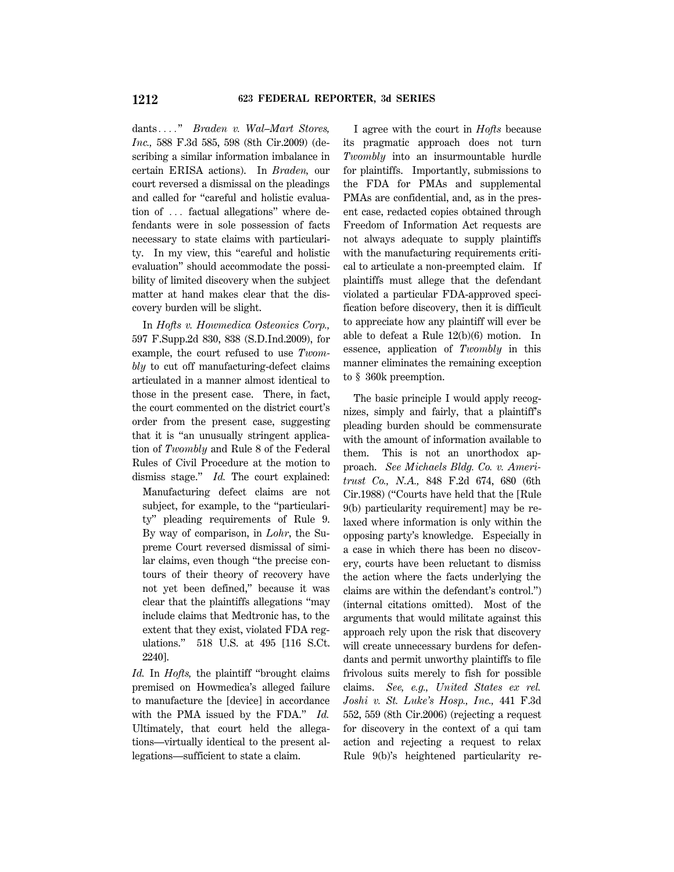dants...." *Braden v. Wal–Mart Stores, Inc.,* 588 F.3d 585, 598 (8th Cir.2009) (describing a similar information imbalance in certain ERISA actions). In *Braden,* our court reversed a dismissal on the pleadings and called for ''careful and holistic evaluation of ... factual allegations" where defendants were in sole possession of facts necessary to state claims with particularity. In my view, this ''careful and holistic evaluation'' should accommodate the possibility of limited discovery when the subject matter at hand makes clear that the discovery burden will be slight.

In *Hofts v. Howmedica Osteonics Corp.,* 597 F.Supp.2d 830, 838 (S.D.Ind.2009), for example, the court refused to use *Twombly* to cut off manufacturing-defect claims articulated in a manner almost identical to those in the present case. There, in fact, the court commented on the district court's order from the present case, suggesting that it is ''an unusually stringent application of *Twombly* and Rule 8 of the Federal Rules of Civil Procedure at the motion to dismiss stage.'' *Id.* The court explained:

Manufacturing defect claims are not subject, for example, to the "particularity'' pleading requirements of Rule 9. By way of comparison, in *Lohr*, the Supreme Court reversed dismissal of similar claims, even though ''the precise contours of their theory of recovery have not yet been defined,'' because it was clear that the plaintiffs allegations ''may include claims that Medtronic has, to the extent that they exist, violated FDA regulations.'' 518 U.S. at 495 [116 S.Ct. 2240].

*Id.* In *Hofts,* the plaintiff ''brought claims premised on Howmedica's alleged failure to manufacture the [device] in accordance with the PMA issued by the FDA.'' *Id.* Ultimately, that court held the allegations—virtually identical to the present allegations—sufficient to state a claim.

I agree with the court in *Hofts* because its pragmatic approach does not turn *Twombly* into an insurmountable hurdle for plaintiffs. Importantly, submissions to the FDA for PMAs and supplemental PMAs are confidential, and, as in the present case, redacted copies obtained through Freedom of Information Act requests are not always adequate to supply plaintiffs with the manufacturing requirements critical to articulate a non-preempted claim. If plaintiffs must allege that the defendant violated a particular FDA-approved specification before discovery, then it is difficult to appreciate how any plaintiff will ever be able to defeat a Rule 12(b)(6) motion. In essence, application of *Twombly* in this manner eliminates the remaining exception to § 360k preemption.

The basic principle I would apply recognizes, simply and fairly, that a plaintiff's pleading burden should be commensurate with the amount of information available to them. This is not an unorthodox approach. *See Michaels Bldg. Co. v. Ameritrust Co., N.A.,* 848 F.2d 674, 680 (6th Cir.1988) (''Courts have held that the [Rule 9(b) particularity requirement] may be relaxed where information is only within the opposing party's knowledge. Especially in a case in which there has been no discovery, courts have been reluctant to dismiss the action where the facts underlying the claims are within the defendant's control.'') (internal citations omitted). Most of the arguments that would militate against this approach rely upon the risk that discovery will create unnecessary burdens for defendants and permit unworthy plaintiffs to file frivolous suits merely to fish for possible claims. *See, e.g., United States ex rel. Joshi v. St. Luke's Hosp., Inc.,* 441 F.3d 552, 559 (8th Cir.2006) (rejecting a request for discovery in the context of a qui tam action and rejecting a request to relax Rule 9(b)'s heightened particularity re-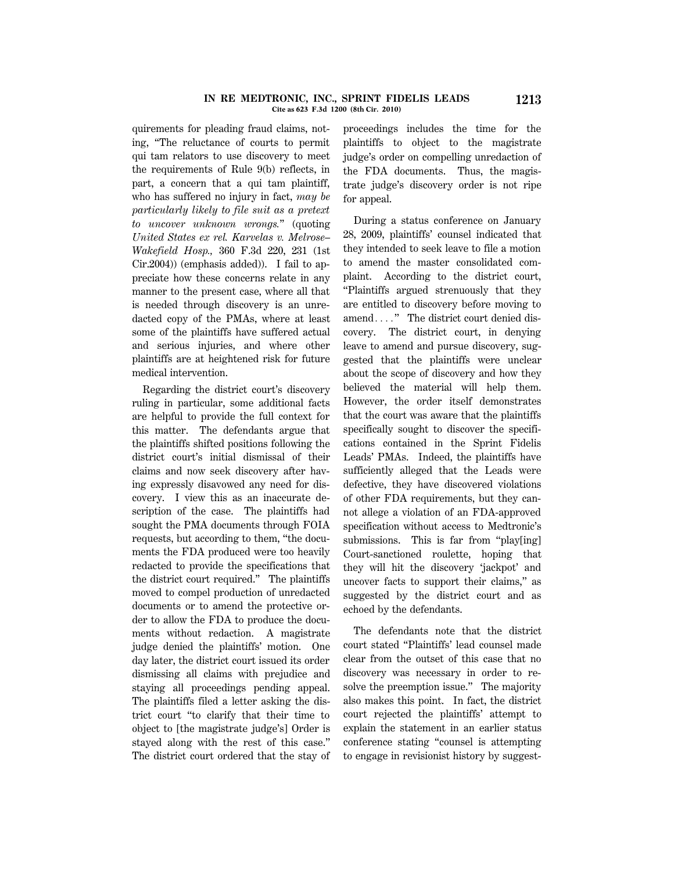#### **IN RE MEDTRONIC, INC., SPRINT FIDELIS LEADS 1213 Cite as 623 F.3d 1200 (8th Cir. 2010)**

quirements for pleading fraud claims, noting, ''The reluctance of courts to permit qui tam relators to use discovery to meet the requirements of Rule 9(b) reflects, in part, a concern that a qui tam plaintiff, who has suffered no injury in fact, *may be particularly likely to file suit as a pretext to uncover unknown wrongs.*'' (quoting *United States ex rel. Karvelas v. Melrose– Wakefield Hosp.,* 360 F.3d 220, 231 (1st Cir.2004)) (emphasis added)). I fail to appreciate how these concerns relate in any manner to the present case, where all that is needed through discovery is an unredacted copy of the PMAs, where at least some of the plaintiffs have suffered actual and serious injuries, and where other plaintiffs are at heightened risk for future medical intervention.

Regarding the district court's discovery ruling in particular, some additional facts are helpful to provide the full context for this matter. The defendants argue that the plaintiffs shifted positions following the district court's initial dismissal of their claims and now seek discovery after having expressly disavowed any need for discovery. I view this as an inaccurate description of the case. The plaintiffs had sought the PMA documents through FOIA requests, but according to them, ''the documents the FDA produced were too heavily redacted to provide the specifications that the district court required.'' The plaintiffs moved to compel production of unredacted documents or to amend the protective order to allow the FDA to produce the documents without redaction. A magistrate judge denied the plaintiffs' motion. One day later, the district court issued its order dismissing all claims with prejudice and staying all proceedings pending appeal. The plaintiffs filed a letter asking the district court ''to clarify that their time to object to [the magistrate judge's] Order is stayed along with the rest of this case.'' The district court ordered that the stay of proceedings includes the time for the plaintiffs to object to the magistrate judge's order on compelling unredaction of the FDA documents. Thus, the magistrate judge's discovery order is not ripe for appeal.

During a status conference on January 28, 2009, plaintiffs' counsel indicated that they intended to seek leave to file a motion to amend the master consolidated complaint. According to the district court, ''Plaintiffs argued strenuously that they are entitled to discovery before moving to amend...." The district court denied discovery. The district court, in denying leave to amend and pursue discovery, suggested that the plaintiffs were unclear about the scope of discovery and how they believed the material will help them. However, the order itself demonstrates that the court was aware that the plaintiffs specifically sought to discover the specifications contained in the Sprint Fidelis Leads' PMAs. Indeed, the plaintiffs have sufficiently alleged that the Leads were defective, they have discovered violations of other FDA requirements, but they cannot allege a violation of an FDA-approved specification without access to Medtronic's submissions. This is far from "play[ing] Court-sanctioned roulette, hoping that they will hit the discovery 'jackpot' and uncover facts to support their claims,'' as suggested by the district court and as echoed by the defendants.

The defendants note that the district court stated ''Plaintiffs' lead counsel made clear from the outset of this case that no discovery was necessary in order to resolve the preemption issue." The majority also makes this point. In fact, the district court rejected the plaintiffs' attempt to explain the statement in an earlier status conference stating ''counsel is attempting to engage in revisionist history by suggest